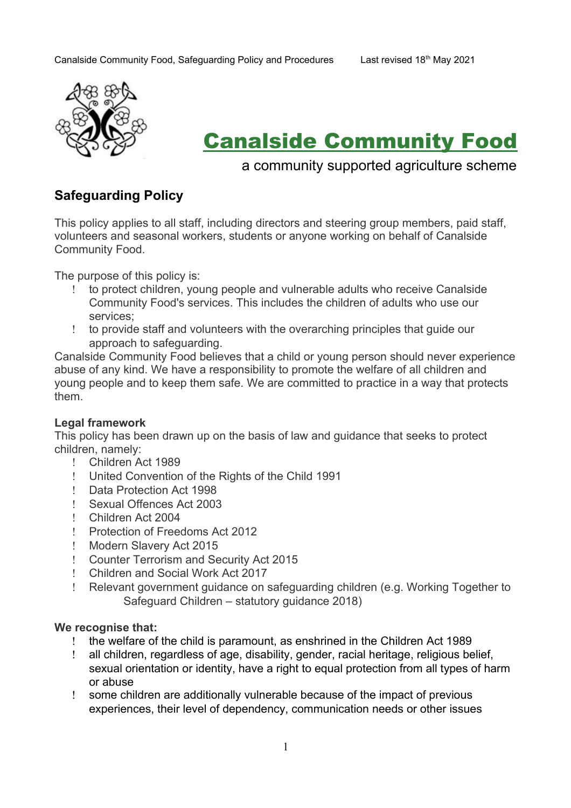

# Canalside Community Food

## a community supported agriculture scheme

## **Safeguarding Policy**

This policy applies to all staff, including directors and steering group members, paid staff, volunteers and seasonal workers, students or anyone working on behalf of Canalside Community Food.

The purpose of this policy is:

- to protect children, young people and vulnerable adults who receive Canalside Community Food's services. This includes the children of adults who use our services;
- to provide staff and volunteers with the overarching principles that guide our approach to safeguarding.

Canalside Community Food believes that a child or young person should never experience abuse of any kind. We have a responsibility to promote the welfare of all children and young people and to keep them safe. We are committed to practice in a way that protects them.

## **Legal framework**

This policy has been drawn up on the basis of law and guidance that seeks to protect children, namely:

- Children Act 1989
- United Convention of the Rights of the Child 1991
- Data Protection Act 1998
- Sexual Offences Act 2003
- Children Act 2004
- Protection of Freedoms Act 2012
- ! Modern Slavery Act 2015
- Counter Terrorism and Security Act 2015
- Children and Social Work Act 2017
- Relevant government guidance on safeguarding children (e.g. Working Together to Safeguard Children – statutory guidance 2018)

#### **We recognise that:**

- the welfare of the child is paramount, as enshrined in the Children Act 1989
- all children, regardless of age, disability, gender, racial heritage, religious belief, sexual orientation or identity, have a right to equal protection from all types of harm or abuse
- some children are additionally vulnerable because of the impact of previous experiences, their level of dependency, communication needs or other issues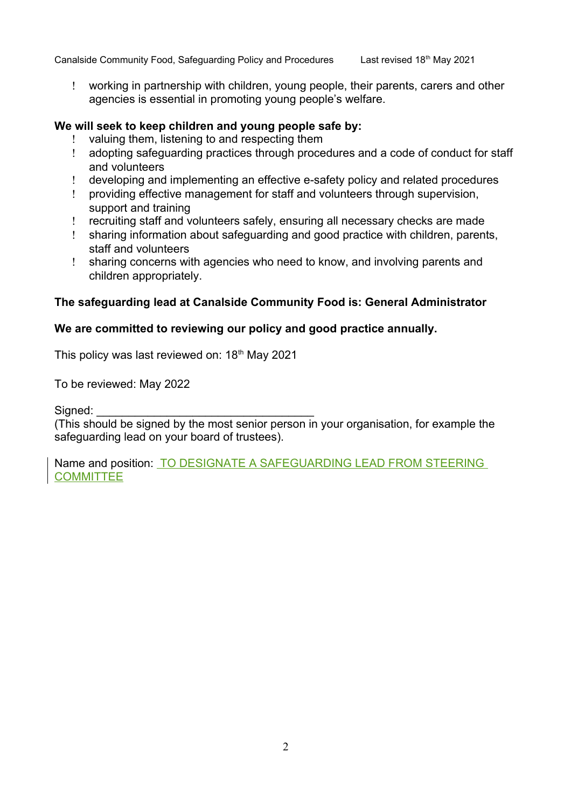Canalside Community Food, Safeguarding Policy and Procedures Last revised 18th May 2021

 working in partnership with children, young people, their parents, carers and other agencies is essential in promoting young people's welfare.

## **We will seek to keep children and young people safe by:**

- valuing them, listening to and respecting them
- adopting safeguarding practices through procedures and a code of conduct for staff and volunteers
- developing and implementing an effective e-safety policy and related procedures
- providing effective management for staff and volunteers through supervision, support and training
- recruiting staff and volunteers safely, ensuring all necessary checks are made
- sharing information about safeguarding and good practice with children, parents, staff and volunteers
- sharing concerns with agencies who need to know, and involving parents and children appropriately.

## **The safeguarding lead at Canalside Community Food is: General Administrator**

## **We are committed to reviewing our policy and good practice annually.**

This policy was last reviewed on: 18<sup>th</sup> May 2021

To be reviewed: May 2022

Signed:

(This should be signed by the most senior person in your organisation, for example the safeguarding lead on your board of trustees).

Name and position: TO DESIGNATE A SAFEGUARDING LEAD FROM STEERING **COMMITTEE**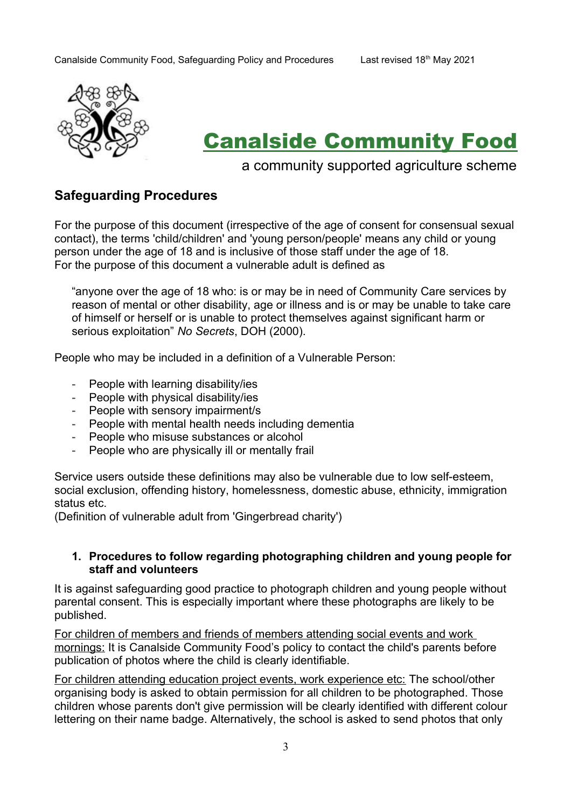

# Canalside Community Food

## a community supported agriculture scheme

## **Safeguarding Procedures**

For the purpose of this document (irrespective of the age of consent for consensual sexual contact), the terms 'child/children' and 'young person/people' means any child or young person under the age of 18 and is inclusive of those staff under the age of 18. For the purpose of this document a vulnerable adult is defined as

"anyone over the age of 18 who: is or may be in need of Community Care services by reason of mental or other disability, age or illness and is or may be unable to take care of himself or herself or is unable to protect themselves against significant harm or serious exploitation" *No Secrets*, DOH (2000).

People who may be included in a definition of a Vulnerable Person:

- People with learning disability/ies
- People with physical disability/ies
- People with sensory impairment/s
- People with mental health needs including dementia
- People who misuse substances or alcohol
- People who are physically ill or mentally frail

Service users outside these definitions may also be vulnerable due to low self-esteem, social exclusion, offending history, homelessness, domestic abuse, ethnicity, immigration status etc.

(Definition of vulnerable adult from 'Gingerbread charity')

#### **1. Procedures to follow regarding photographing children and young people for staff and volunteers**

It is against safeguarding good practice to photograph children and young people without parental consent. This is especially important where these photographs are likely to be published.

For children of members and friends of members attending social events and work mornings: It is Canalside Community Food's policy to contact the child's parents before publication of photos where the child is clearly identifiable.

For children attending education project events, work experience etc: The school/other organising body is asked to obtain permission for all children to be photographed. Those children whose parents don't give permission will be clearly identified with different colour lettering on their name badge. Alternatively, the school is asked to send photos that only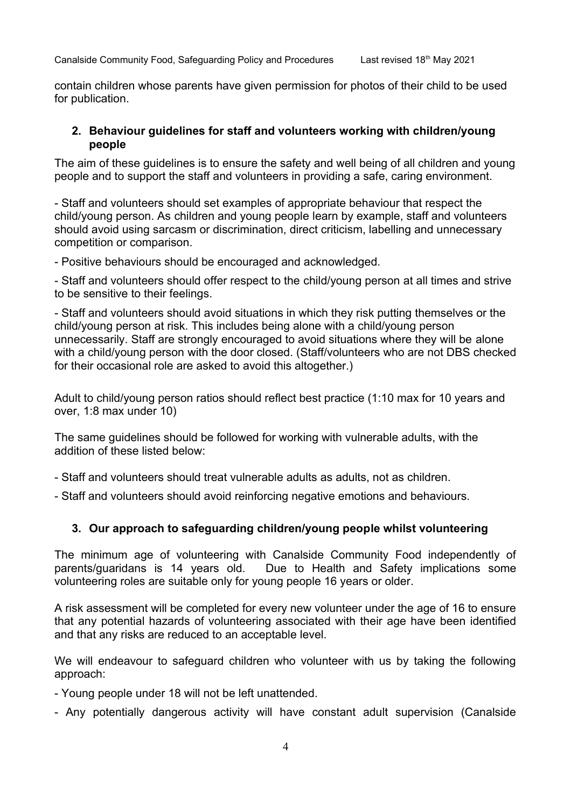contain children whose parents have given permission for photos of their child to be used for publication.

## **2. Behaviour guidelines for staff and volunteers working with children/young people**

The aim of these guidelines is to ensure the safety and well being of all children and young people and to support the staff and volunteers in providing a safe, caring environment.

- Staff and volunteers should set examples of appropriate behaviour that respect the child/young person. As children and young people learn by example, staff and volunteers should avoid using sarcasm or discrimination, direct criticism, labelling and unnecessary competition or comparison.

- Positive behaviours should be encouraged and acknowledged.

- Staff and volunteers should offer respect to the child/young person at all times and strive to be sensitive to their feelings.

- Staff and volunteers should avoid situations in which they risk putting themselves or the child/young person at risk. This includes being alone with a child/young person unnecessarily. Staff are strongly encouraged to avoid situations where they will be alone with a child/voung person with the door closed. (Staff/volunteers who are not DBS checked for their occasional role are asked to avoid this altogether.)

Adult to child/young person ratios should reflect best practice (1:10 max for 10 years and over, 1:8 max under 10)

The same guidelines should be followed for working with vulnerable adults, with the addition of these listed below:

- Staff and volunteers should treat vulnerable adults as adults, not as children.

- Staff and volunteers should avoid reinforcing negative emotions and behaviours.

## **3. Our approach to safeguarding children/young people whilst volunteering**

The minimum age of volunteering with Canalside Community Food independently of parents/guaridans is 14 years old. Due to Health and Safety implications some volunteering roles are suitable only for young people 16 years or older.

A risk assessment will be completed for every new volunteer under the age of 16 to ensure that any potential hazards of volunteering associated with their age have been identified and that any risks are reduced to an acceptable level.

We will endeavour to safeguard children who volunteer with us by taking the following approach:

- Young people under 18 will not be left unattended.

- Any potentially dangerous activity will have constant adult supervision (Canalside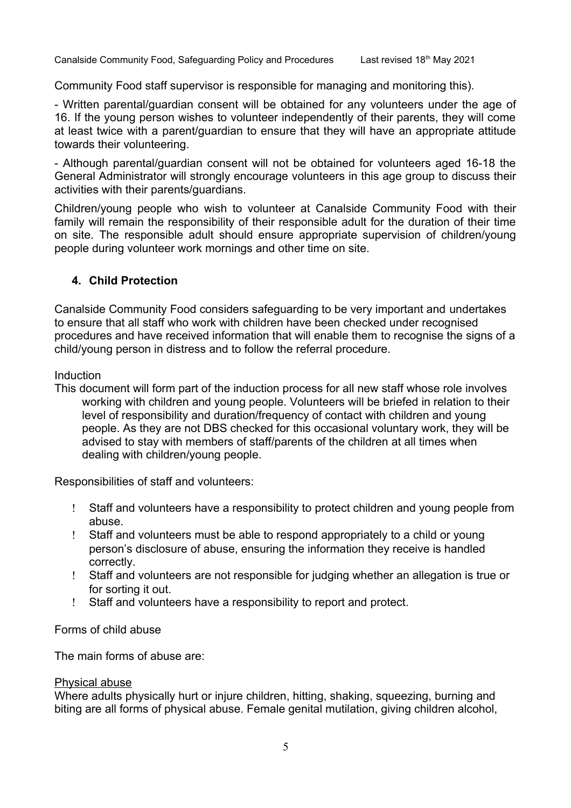Community Food staff supervisor is responsible for managing and monitoring this).

- Written parental/guardian consent will be obtained for any volunteers under the age of 16. If the young person wishes to volunteer independently of their parents, they will come at least twice with a parent/guardian to ensure that they will have an appropriate attitude towards their volunteering.

- Although parental/guardian consent will not be obtained for volunteers aged 16-18 the General Administrator will strongly encourage volunteers in this age group to discuss their activities with their parents/guardians.

Children/young people who wish to volunteer at Canalside Community Food with their family will remain the responsibility of their responsible adult for the duration of their time on site. The responsible adult should ensure appropriate supervision of children/young people during volunteer work mornings and other time on site.

## **4. Child Protection**

Canalside Community Food considers safeguarding to be very important and undertakes to ensure that all staff who work with children have been checked under recognised procedures and have received information that will enable them to recognise the signs of a child/young person in distress and to follow the referral procedure.

#### Induction

This document will form part of the induction process for all new staff whose role involves working with children and young people. Volunteers will be briefed in relation to their level of responsibility and duration/frequency of contact with children and young people. As they are not DBS checked for this occasional voluntary work, they will be advised to stay with members of staff/parents of the children at all times when dealing with children/young people.

Responsibilities of staff and volunteers:

- Staff and volunteers have a responsibility to protect children and young people from abuse.
- Staff and volunteers must be able to respond appropriately to a child or young person's disclosure of abuse, ensuring the information they receive is handled correctly.
- Staff and volunteers are not responsible for judging whether an allegation is true or for sorting it out.
- Staff and volunteers have a responsibility to report and protect.

## Forms of child abuse

The main forms of abuse are:

## Physical abuse

Where adults physically hurt or injure children, hitting, shaking, squeezing, burning and biting are all forms of physical abuse. Female genital mutilation, giving children alcohol,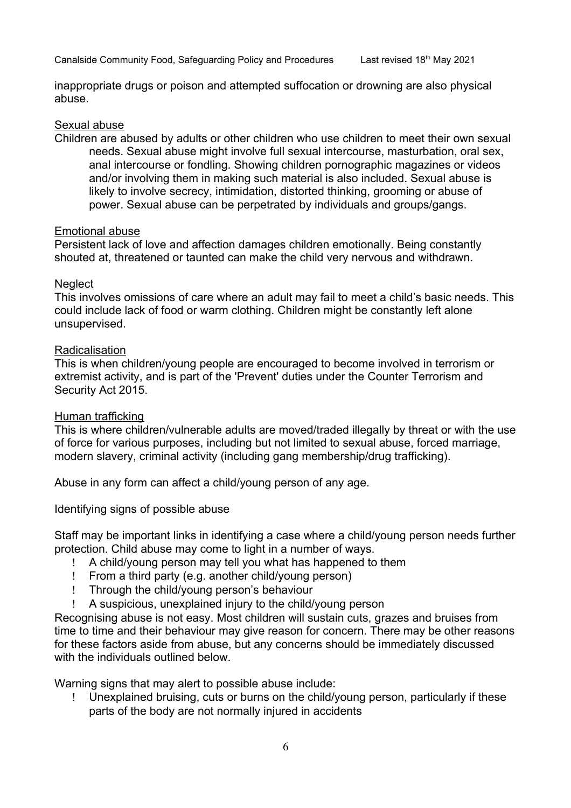inappropriate drugs or poison and attempted suffocation or drowning are also physical abuse.

#### Sexual abuse

Children are abused by adults or other children who use children to meet their own sexual needs. Sexual abuse might involve full sexual intercourse, masturbation, oral sex, anal intercourse or fondling. Showing children pornographic magazines or videos and/or involving them in making such material is also included. Sexual abuse is likely to involve secrecy, intimidation, distorted thinking, grooming or abuse of power. Sexual abuse can be perpetrated by individuals and groups/gangs.

#### Emotional abuse

Persistent lack of love and affection damages children emotionally. Being constantly shouted at, threatened or taunted can make the child very nervous and withdrawn.

#### **Neglect**

This involves omissions of care where an adult may fail to meet a child's basic needs. This could include lack of food or warm clothing. Children might be constantly left alone unsupervised.

#### Radicalisation

This is when children/young people are encouraged to become involved in terrorism or extremist activity, and is part of the 'Prevent' duties under the Counter Terrorism and Security Act 2015.

#### Human trafficking

This is where children/vulnerable adults are moved/traded illegally by threat or with the use of force for various purposes, including but not limited to sexual abuse, forced marriage, modern slavery, criminal activity (including gang membership/drug trafficking).

Abuse in any form can affect a child/young person of any age.

Identifying signs of possible abuse

Staff may be important links in identifying a case where a child/young person needs further protection. Child abuse may come to light in a number of ways.

- A child/young person may tell you what has happened to them
- From a third party (e.g. another child/young person)
- Through the child/young person's behaviour
- A suspicious, unexplained injury to the child/young person

Recognising abuse is not easy. Most children will sustain cuts, grazes and bruises from time to time and their behaviour may give reason for concern. There may be other reasons for these factors aside from abuse, but any concerns should be immediately discussed with the individuals outlined below

Warning signs that may alert to possible abuse include:

 Unexplained bruising, cuts or burns on the child/young person, particularly if these parts of the body are not normally injured in accidents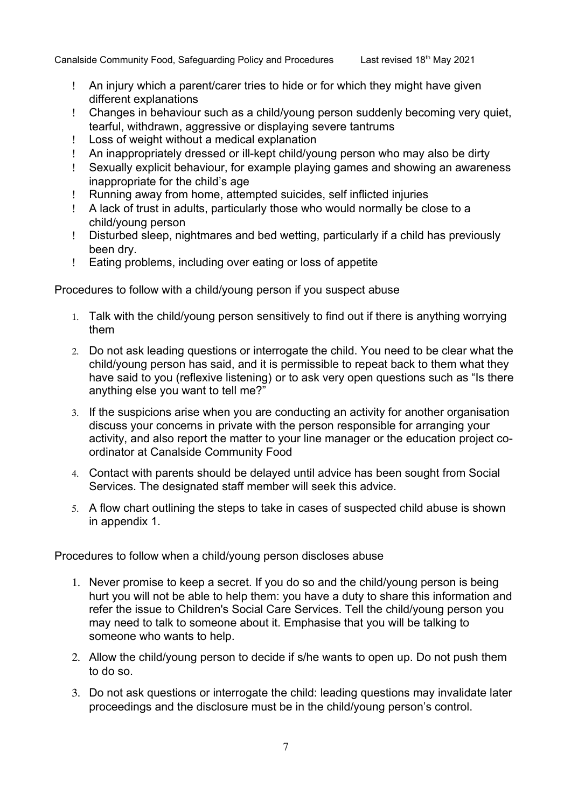- An injury which a parent/carer tries to hide or for which they might have given different explanations
- Changes in behaviour such as a child/young person suddenly becoming very quiet, tearful, withdrawn, aggressive or displaying severe tantrums
- Loss of weight without a medical explanation
- An inappropriately dressed or ill-kept child/young person who may also be dirty
- Sexually explicit behaviour, for example playing games and showing an awareness inappropriate for the child's age
- Running away from home, attempted suicides, self inflicted injuries
- A lack of trust in adults, particularly those who would normally be close to a child/young person
- Disturbed sleep, nightmares and bed wetting, particularly if a child has previously been dry.
- Eating problems, including over eating or loss of appetite

Procedures to follow with a child/young person if you suspect abuse

- 1. Talk with the child/young person sensitively to find out if there is anything worrying them
- 2. Do not ask leading questions or interrogate the child. You need to be clear what the child/young person has said, and it is permissible to repeat back to them what they have said to you (reflexive listening) or to ask very open questions such as "Is there anything else you want to tell me?"
- 3. If the suspicions arise when you are conducting an activity for another organisation discuss your concerns in private with the person responsible for arranging your activity, and also report the matter to your line manager or the education project coordinator at Canalside Community Food
- 4. Contact with parents should be delayed until advice has been sought from Social Services. The designated staff member will seek this advice.
- 5. A flow chart outlining the steps to take in cases of suspected child abuse is shown in appendix 1.

Procedures to follow when a child/young person discloses abuse

- 1. Never promise to keep a secret. If you do so and the child/young person is being hurt you will not be able to help them: you have a duty to share this information and refer the issue to Children's Social Care Services. Tell the child/young person you may need to talk to someone about it. Emphasise that you will be talking to someone who wants to help.
- 2. Allow the child/young person to decide if s/he wants to open up. Do not push them to do so.
- 3. Do not ask questions or interrogate the child: leading questions may invalidate later proceedings and the disclosure must be in the child/young person's control.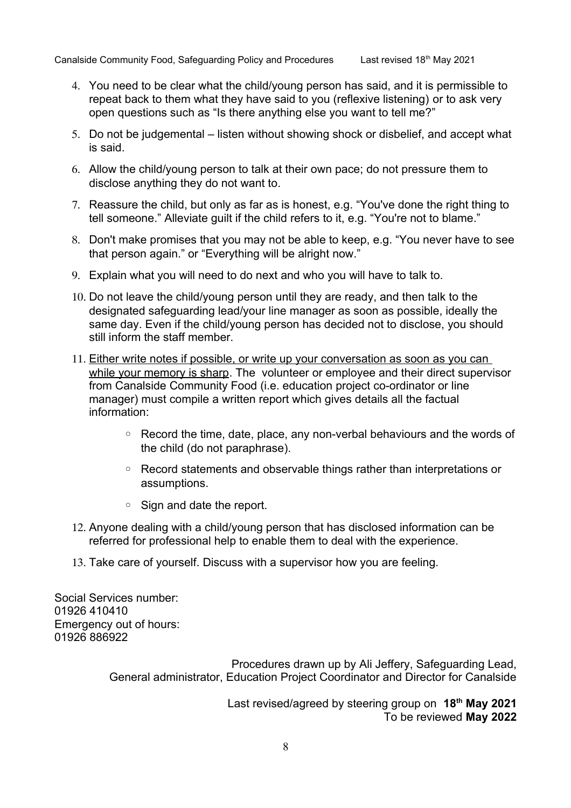- 4. You need to be clear what the child/young person has said, and it is permissible to repeat back to them what they have said to you (reflexive listening) or to ask very open questions such as "Is there anything else you want to tell me?"
- 5. Do not be judgemental listen without showing shock or disbelief, and accept what is said.
- 6. Allow the child/young person to talk at their own pace; do not pressure them to disclose anything they do not want to.
- 7. Reassure the child, but only as far as is honest, e.g. "You've done the right thing to tell someone." Alleviate guilt if the child refers to it, e.g. "You're not to blame."
- 8. Don't make promises that you may not be able to keep, e.g. "You never have to see that person again." or "Everything will be alright now."
- 9. Explain what you will need to do next and who you will have to talk to.
- 10. Do not leave the child/young person until they are ready, and then talk to the designated safeguarding lead/your line manager as soon as possible, ideally the same day. Even if the child/young person has decided not to disclose, you should still inform the staff member.
- 11. Either write notes if possible, or write up your conversation as soon as you can while your memory is sharp. The volunteer or employee and their direct supervisor from Canalside Community Food (i.e. education project co-ordinator or line manager) must compile a written report which gives details all the factual information:
	- Record the time, date, place, any non-verbal behaviours and the words of the child (do not paraphrase).
	- Record statements and observable things rather than interpretations or assumptions.
	- Sign and date the report.
- 12. Anyone dealing with a child/young person that has disclosed information can be referred for professional help to enable them to deal with the experience.
- 13. Take care of yourself. Discuss with a supervisor how you are feeling.

Social Services number: 01926 410410 Emergency out of hours: 01926 886922

> Procedures drawn up by Ali Jeffery, Safeguarding Lead, General administrator, Education Project Coordinator and Director for Canalside

> > Last revised/agreed by steering group on **18th May 2021** To be reviewed **May 2022**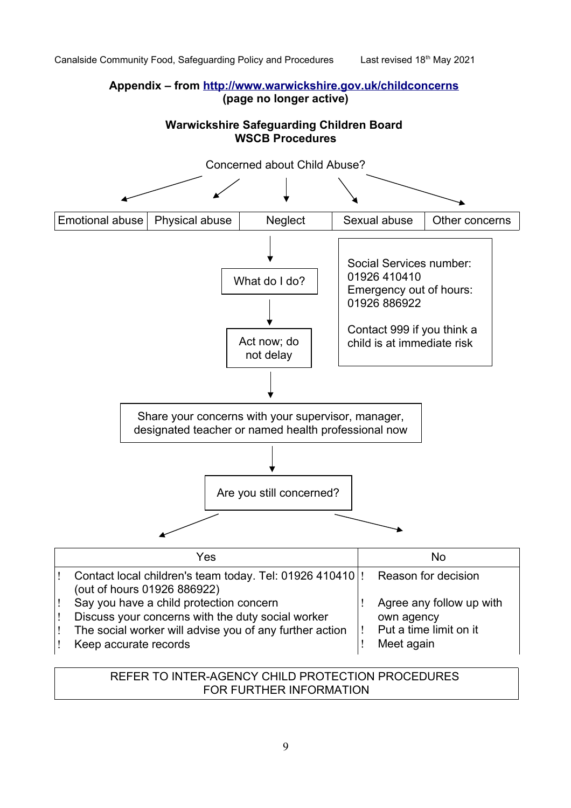## **Appendix – from<http://www.warwickshire.gov.uk/childconcerns> (page no longer active)**

## **Warwickshire Safeguarding Children Board WSCB Procedures**



| Yes                                                                           | NΩ                       |
|-------------------------------------------------------------------------------|--------------------------|
| Contact local children's team today. Tel: 01926 410410  ! Reason for decision |                          |
| (out of hours 01926 886922)                                                   |                          |
| Say you have a child protection concern                                       | Agree any follow up with |
| Discuss your concerns with the duty social worker                             | own agency               |
| The social worker will advise you of any further action                       | Put a time limit on it   |
| Keep accurate records                                                         | Meet again               |

## REFER TO INTER-AGENCY CHILD PROTECTION PROCEDURES FOR FURTHER INFORMATION